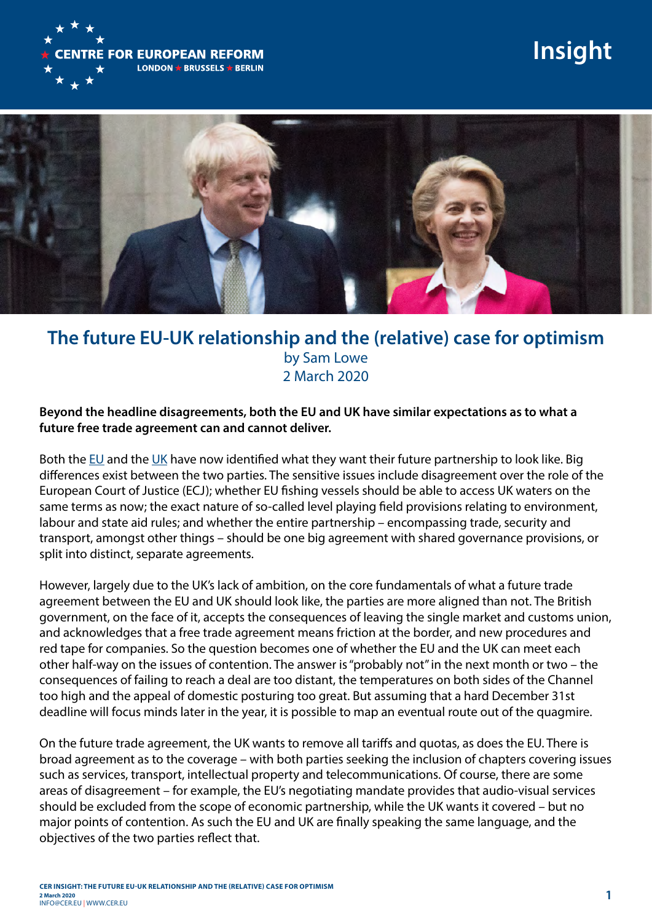

## **Insight**



## **The future EU-UK relationship and the (relative) case for optimism**  by Sam Lowe 2 March 2020

## **Beyond the headline disagreements, both the EU and UK have similar expectations as to what a future free trade agreement can and cannot deliver.**

Both the [EU](http://mailer.cer.org.uk/track/click/30850795/www.consilium.europa.eu%3Fp%3DeyJzIjoianI1N2tFZVljaFd2dW0tY3pHTVNRd29lbzNRIiwidiI6MSwicCI6IntcInVcIjozMDg1MDc5NSxcInZcIjoxLFwidXJsXCI6XCJodHRwczpcXFwvXFxcL3d3dy5jb25zaWxpdW0uZXVyb3BhLmV1XFxcL21lZGlhXFxcLzQyNzM2XFxcL3N0MDU4NzAtYWQwMXJlMDMtZW4yMC5wZGZcIixcImlkXCI6XCIzYmI2NmNjOGNmNmM0YTFhYTMyMzgzY2ZlNzdmODE5YlwiLFwidXJsX2lkc1wiOltcIjM2MWE0YmQ4MzI2NjM4M2FlM2FlNzZhMGQ3MDEzZjFkNTc4ZDdlMjhcIl19In0) and the [UK](https://assets.publishing.service.gov.uk/government/uploads/system/uploads/attachment_data/file/868874/The_Future_Relationship_with_the_EU.pdf) have now identified what they want their future partnership to look like. Big differences exist between the two parties. The sensitive issues include disagreement over the role of the European Court of Justice (ECJ); whether EU fishing vessels should be able to access UK waters on the same terms as now; the exact nature of so-called level playing field provisions relating to environment, labour and state aid rules; and whether the entire partnership – encompassing trade, security and transport, amongst other things – should be one big agreement with shared governance provisions, or split into distinct, separate agreements.

However, largely due to the UK's lack of ambition, on the core fundamentals of what a future trade agreement between the EU and UK should look like, the parties are more aligned than not. The British government, on the face of it, accepts the consequences of leaving the single market and customs union, and acknowledges that a free trade agreement means friction at the border, and new procedures and red tape for companies. So the question becomes one of whether the EU and the UK can meet each other half-way on the issues of contention. The answer is "probably not" in the next month or two – the consequences of failing to reach a deal are too distant, the temperatures on both sides of the Channel too high and the appeal of domestic posturing too great. But assuming that a hard December 31st deadline will focus minds later in the year, it is possible to map an eventual route out of the quagmire.

On the future trade agreement, the UK wants to remove all tariffs and quotas, as does the EU. There is broad agreement as to the coverage – with both parties seeking the inclusion of chapters covering issues such as services, transport, intellectual property and telecommunications. Of course, there are some areas of disagreement – for example, the EU's negotiating mandate provides that audio-visual services should be excluded from the scope of economic partnership, while the UK wants it covered – but no major points of contention. As such the EU and UK are finally speaking the same language, and the objectives of the two parties reflect that.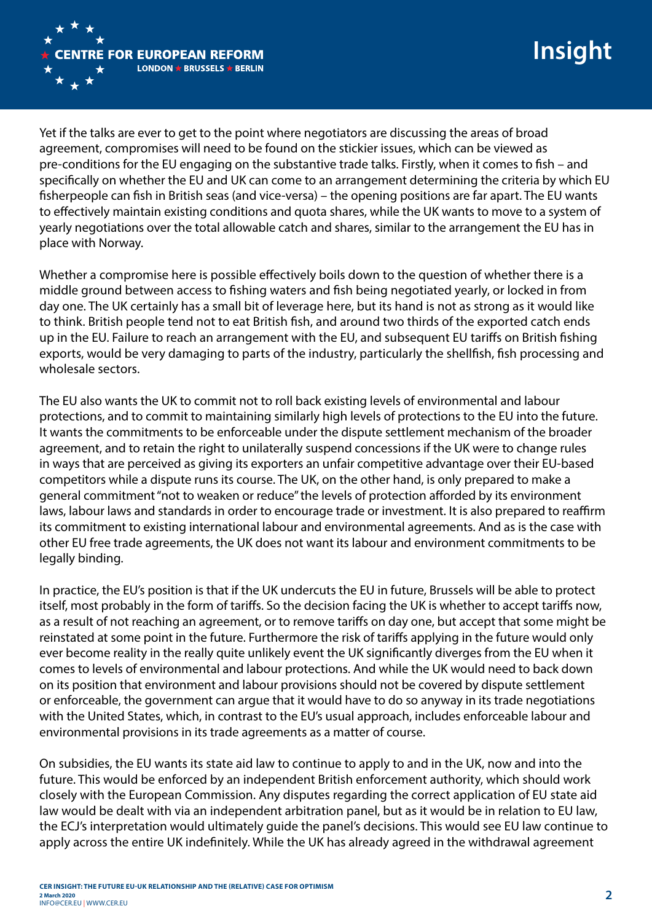

Yet if the talks are ever to get to the point where negotiators are discussing the areas of broad agreement, compromises will need to be found on the stickier issues, which can be viewed as pre-conditions for the EU engaging on the substantive trade talks. Firstly, when it comes to fish – and specifically on whether the EU and UK can come to an arrangement determining the criteria by which EU fisherpeople can fish in British seas (and vice-versa) – the opening positions are far apart. The EU wants to effectively maintain existing conditions and quota shares, while the UK wants to move to a system of yearly negotiations over the total allowable catch and shares, similar to the arrangement the EU has in place with Norway.

Whether a compromise here is possible effectively boils down to the question of whether there is a middle ground between access to fishing waters and fish being negotiated yearly, or locked in from day one. The UK certainly has a small bit of leverage here, but its hand is not as strong as it would like to think. British people tend not to eat British fish, and around two thirds of the exported catch ends up in the EU. Failure to reach an arrangement with the EU, and subsequent EU tariffs on British fishing exports, would be very damaging to parts of the industry, particularly the shellfish, fish processing and wholesale sectors.

The EU also wants the UK to commit not to roll back existing levels of environmental and labour protections, and to commit to maintaining similarly high levels of protections to the EU into the future. It wants the commitments to be enforceable under the dispute settlement mechanism of the broader agreement, and to retain the right to unilaterally suspend concessions if the UK were to change rules in ways that are perceived as giving its exporters an unfair competitive advantage over their EU-based competitors while a dispute runs its course. The UK, on the other hand, is only prepared to make a general commitment "not to weaken or reduce" the levels of protection afforded by its environment laws, labour laws and standards in order to encourage trade or investment. It is also prepared to reaffirm its commitment to existing international labour and environmental agreements. And as is the case with other EU free trade agreements, the UK does not want its labour and environment commitments to be legally binding.

In practice, the EU's position is that if the UK undercuts the EU in future, Brussels will be able to protect itself, most probably in the form of tariffs. So the decision facing the UK is whether to accept tariffs now, as a result of not reaching an agreement, or to remove tariffs on day one, but accept that some might be reinstated at some point in the future. Furthermore the risk of tariffs applying in the future would only ever become reality in the really quite unlikely event the UK significantly diverges from the EU when it comes to levels of environmental and labour protections. And while the UK would need to back down on its position that environment and labour provisions should not be covered by dispute settlement or enforceable, the government can argue that it would have to do so anyway in its trade negotiations with the United States, which, in contrast to the EU's usual approach, includes enforceable labour and environmental provisions in its trade agreements as a matter of course.

On subsidies, the EU wants its state aid law to continue to apply to and in the UK, now and into the future. This would be enforced by an independent British enforcement authority, which should work closely with the European Commission. Any disputes regarding the correct application of EU state aid law would be dealt with via an independent arbitration panel, but as it would be in relation to EU law, the ECJ's interpretation would ultimately guide the panel's decisions. This would see EU law continue to apply across the entire UK indefinitely. While the UK has already agreed in the withdrawal agreement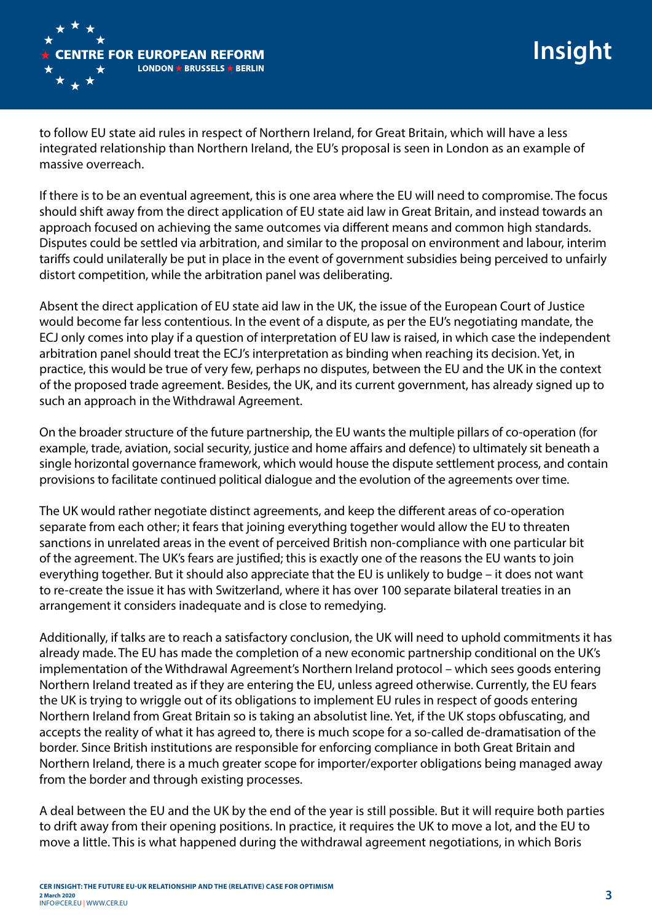

to follow EU state aid rules in respect of Northern Ireland, for Great Britain, which will have a less integrated relationship than Northern Ireland, the EU's proposal is seen in London as an example of massive overreach.

If there is to be an eventual agreement, this is one area where the EU will need to compromise. The focus should shift away from the direct application of EU state aid law in Great Britain, and instead towards an approach focused on achieving the same outcomes via different means and common high standards. Disputes could be settled via arbitration, and similar to the proposal on environment and labour, interim tariffs could unilaterally be put in place in the event of government subsidies being perceived to unfairly distort competition, while the arbitration panel was deliberating.

Absent the direct application of EU state aid law in the UK, the issue of the European Court of Justice would become far less contentious. In the event of a dispute, as per the EU's negotiating mandate, the ECJ only comes into play if a question of interpretation of EU law is raised, in which case the independent arbitration panel should treat the ECJ's interpretation as binding when reaching its decision. Yet, in practice, this would be true of very few, perhaps no disputes, between the EU and the UK in the context of the proposed trade agreement. Besides, the UK, and its current government, has already signed up to such an approach in the Withdrawal Agreement.

On the broader structure of the future partnership, the EU wants the multiple pillars of co-operation (for example, trade, aviation, social security, justice and home affairs and defence) to ultimately sit beneath a single horizontal governance framework, which would house the dispute settlement process, and contain provisions to facilitate continued political dialogue and the evolution of the agreements over time.

The UK would rather negotiate distinct agreements, and keep the different areas of co-operation separate from each other; it fears that joining everything together would allow the EU to threaten sanctions in unrelated areas in the event of perceived British non-compliance with one particular bit of the agreement. The UK's fears are justified; this is exactly one of the reasons the EU wants to join everything together. But it should also appreciate that the EU is unlikely to budge – it does not want to re-create the issue it has with Switzerland, where it has over 100 separate bilateral treaties in an arrangement it considers inadequate and is close to remedying.

Additionally, if talks are to reach a satisfactory conclusion, the UK will need to uphold commitments it has already made. The EU has made the completion of a new economic partnership conditional on the UK's implementation of the Withdrawal Agreement's Northern Ireland protocol – which sees goods entering Northern Ireland treated as if they are entering the EU, unless agreed otherwise. Currently, the EU fears the UK is trying to wriggle out of its obligations to implement EU rules in respect of goods entering Northern Ireland from Great Britain so is taking an absolutist line. Yet, if the UK stops obfuscating, and accepts the reality of what it has agreed to, there is much scope for a so-called de-dramatisation of the border. Since British institutions are responsible for enforcing compliance in both Great Britain and Northern Ireland, there is a much greater scope for importer/exporter obligations being managed away from the border and through existing processes.

A deal between the EU and the UK by the end of the year is still possible. But it will require both parties to drift away from their opening positions. In practice, it requires the UK to move a lot, and the EU to move a little. This is what happened during the withdrawal agreement negotiations, in which Boris